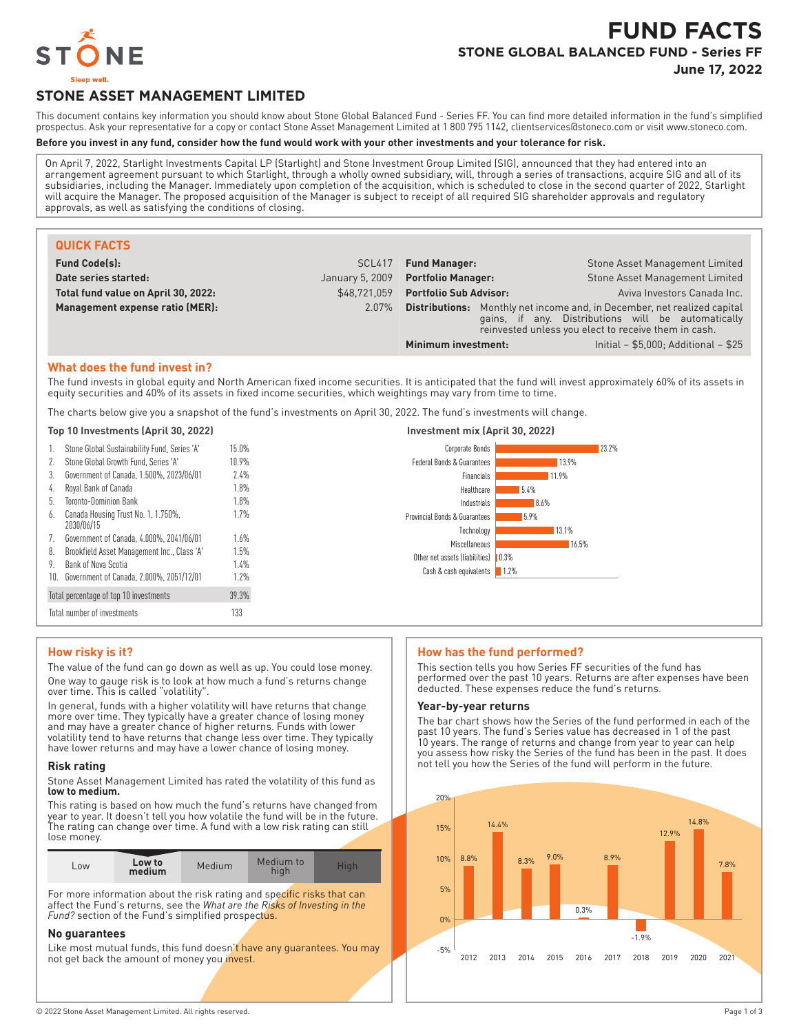

# **FUND FACTS STONE GLOBAL BALANCED FUND - Series FF June 17, 2022**

# **STONE ASSET MANAGEMENT LIMITED**

This document contains key information you should know about Stone Global Balanced Fund - Series FF. You can find more detailed information in the fund's simplified prospectus. Ask your representative for a copy or contact Stone Asset Management Limited at 1 800 795 1142, clientservices@stoneco.com or visit www.stoneco.com.

## **Before you invest in any fund, consider how the fund would work with your other investments and your tolerance for risk.**

On April 7, 2022, Starlight Investments Capital LP (Starlight) and Stone Investment Group Limited (SIG), announced that they had entered into an arrangement agreement pursuant to which Starlight, through a wholly owned subsidiary, will, through a series of transactions, acquire SIG and all of its subsidiaries, including the Manager. Immediately upon completion of the acquisition, which is scheduled to close in the second quarter of 2022, Starlight will acquire the Manager. The proposed acquisition of the Manager is subject to receipt of all required SIG shareholder approvals and regulatory approvals, as well as satisfying the conditions of closing.

| <b>QUICK FACTS</b>                  |                 |                                                                                                                                                                                               |  |                                |
|-------------------------------------|-----------------|-----------------------------------------------------------------------------------------------------------------------------------------------------------------------------------------------|--|--------------------------------|
| <b>Fund Code(s):</b>                | SCL417          | <b>Fund Manager:</b>                                                                                                                                                                          |  | Stone Asset Management Limited |
| Date series started:                | January 5, 2009 | <b>Portfolio Manager:</b>                                                                                                                                                                     |  | Stone Asset Management Limited |
| Total fund value on April 30, 2022: | \$48.721.059    | <b>Portfolio Sub Advisor:</b>                                                                                                                                                                 |  | Aviva Investors Canada Inc.    |
| Management expense ratio (MER):     | $2.07\%$        | <b>Distributions:</b> Monthly net income and, in December, net realized capital<br>gains, if any. Distributions will be automatically<br>reinvested unless you elect to receive them in cash. |  |                                |
|                                     |                 | Initial - $$5,000$ ; Additional - $$25$<br>Minimum investment:                                                                                                                                |  |                                |

#### **What does the fund invest in?**

The fund invests in global equity and North American fixed income securities. It is anticipated that the fund will invest approximately 60% of its assets in equity securities and 40% of its assets in fixed income securities, which weightings may vary from time to time.

The charts below give you a snapshot of the fund's investments on April 30, 2022. The fund's investments will change.

#### **Top 10 Investments (April 30, 2022) Investment mix (April 30, 2022)**

| 1.  | Stone Global Sustainability Fund, Series 'A'      | 15.0% |
|-----|---------------------------------------------------|-------|
| 2.  | Stone Global Growth Fund. Series 'A'              | 10.9% |
| 3.  | Government of Canada, 1.500%, 2023/06/01          | 7.4%  |
| 4.  | Royal Bank of Canada                              | 1.8%  |
| 5.  | Toronto-Dominion Bank                             | 1.8%  |
| 6.  | Canada Housing Trust No. 1, 1.750%,<br>2030/06/15 | 1.7%  |
| 7.  | Government of Canada, 4.000%, 2041/06/01          | 1.6%  |
| 8.  | Brookfield Asset Management Inc., Class 'A'       | 1.5%  |
| 9.  | Bank of Nova Scotia                               | 1.4%  |
| 10. | Government of Canada, 2.000%, 2051/12/01          | 1.7%  |
|     | Total percentage of top 10 investments            | 39.3% |
|     | Total number of investments                       | 133   |

# Corporate Bonds



#### **How risky is it?**

The value of the fund can go down as well as up. You could lose money. One way to gauge risk is to look at how much a fund's returns change over time. This is called "volatility".

In general, funds with a higher volatility will have returns that change more over time. They typically have a greater chance of losing money and may have a greater chance of higher returns. Funds with lower volatility tend to have returns that change less over time. They typically have lower returns and may have a lower chance of losing money.

#### **Risk rating**

Stone Asset Management Limited has rated the volatility of this fund as **low to medium.**

This rating is based on how much the fund's returns have changed from year to year. It doesn't tell you how volatile the fund will be in the future. The rating can change over time. A fund with a low risk rating can still lose money.

| $-0W$ | Low to<br>medium | Medium | Medium to<br>hiah | Hiah |
|-------|------------------|--------|-------------------|------|

For more information about the risk rating and specific risks that can affect the Fund's returns, see the *What are the Risks of Investing in the* Fund? section of the Fund's simplified prospectus.

#### **No guarantees**

Like most mutual funds, this fund doesn't have any guarantees. You may not get back the amount of money you invest.

#### **How has the fund performed?**

This section tells you how Series FF securities of the fund has performed over the past 10 years. Returns are after expenses have been deducted. These expenses reduce the fund's returns.

#### **Year-by-year returns**

The bar chart shows how the Series of the fund performed in each of the past 10 years. The fund's Series value has decreased in 1 of the past 10 years. The range of returns and change from year to year can help you assess how risky the Series of the fund has been in the past. It does not tell you how the Series of the fund will perform in the future.

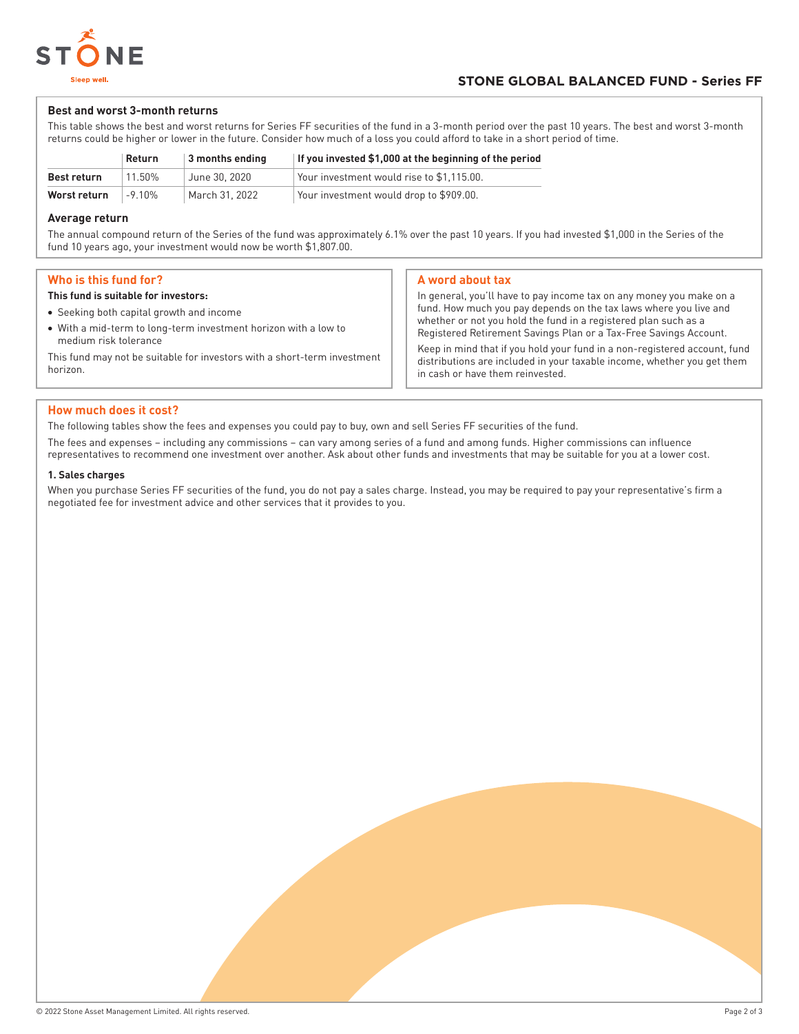

## **Best and worst 3-month returns**

This table shows the best and worst returns for Series FF securities of the fund in a 3-month period over the past 10 years. The best and worst 3-month returns could be higher or lower in the future. Consider how much of a loss you could afford to take in a short period of time.

|                    | Return    | 3 months ending | If you invested \$1,000 at the beginning of the period |
|--------------------|-----------|-----------------|--------------------------------------------------------|
| <b>Best return</b> | 11.50%    | June 30, 2020   | Your investment would rise to \$1.115.00.              |
| Worst return       | $-9.10\%$ | March 31, 2022  | Your investment would drop to \$909.00.                |

## **Average return**

The annual compound return of the Series of the fund was approximately 6.1% over the past 10 years. If you had invested \$1,000 in the Series of the fund 10 years ago, your investment would now be worth \$1,807.00.

## **Who is this fund for?**

#### **This fund is suitable for investors:**

- Seeking both capital growth and income
- With a mid-term to long-term investment horizon with a low to medium risk tolerance

This fund may not be suitable for investors with a short-term investment horizon.

## **A word about tax**

in cash or have them reinvested.

In general, you'll have to pay income tax on any money you make on a fund. How much you pay depends on the tax laws where you live and whether or not you hold the fund in a registered plan such as a Registered Retirement Savings Plan or a Tax-Free Savings Account. Keep in mind that if you hold your fund in a non-registered account, fund distributions are included in your taxable income, whether you get them

## **How much does it cost?**

The following tables show the fees and expenses you could pay to buy, own and sell Series FF securities of the fund.

The fees and expenses – including any commissions – can vary among series of a fund and among funds. Higher commissions can influence representatives to recommend one investment over another. Ask about other funds and investments that may be suitable for you at a lower cost.

#### **1. Sales charges**

When you purchase Series FF securities of the fund, you do not pay a sales charge. Instead, you may be required to pay your representative's firm a negotiated fee for investment advice and other services that it provides to you.